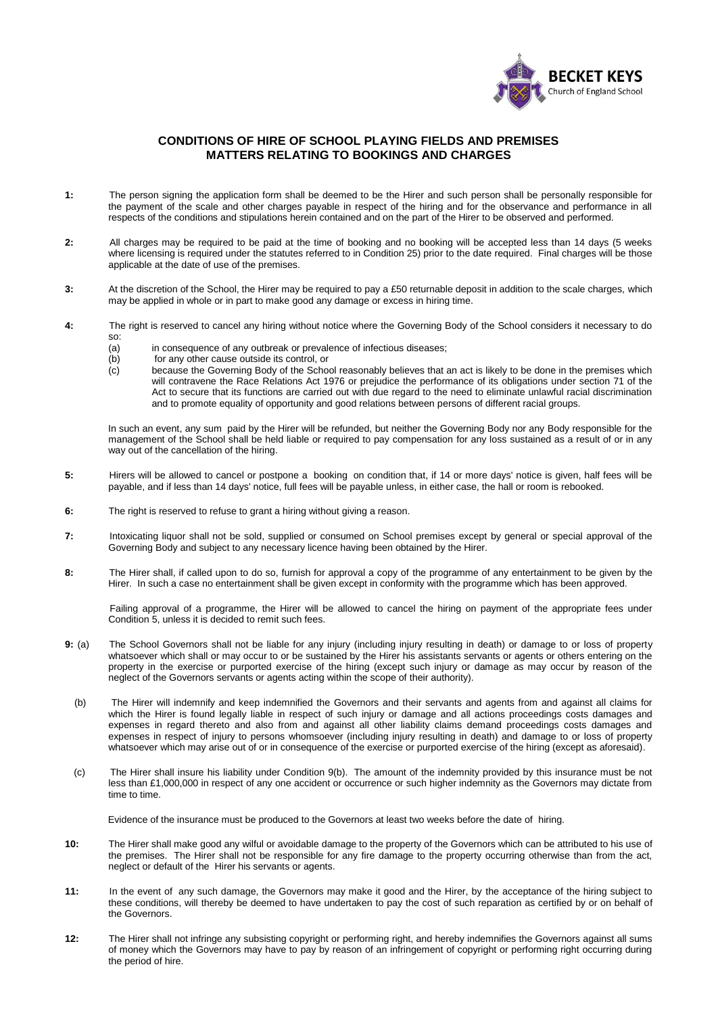

## **CONDITIONS OF HIRE OF SCHOOL PLAYING FIELDS AND PREMISES MATTERS RELATING TO BOOKINGS AND CHARGES**

- **1:** The person signing the application form shall be deemed to be the Hirer and such person shall be personally responsible for the payment of the scale and other charges payable in respect of the hiring and for the observance and performance in all respects of the conditions and stipulations herein contained and on the part of the Hirer to be observed and performed.
- **2:** All charges may be required to be paid at the time of booking and no booking will be accepted less than 14 days (5 weeks where licensing is required under the statutes referred to in Condition 25) prior to the date required. Final charges will be those applicable at the date of use of the premises.
- **3:** At the discretion of the School, the Hirer may be required to pay a £50 returnable deposit in addition to the scale charges, which may be applied in whole or in part to make good any damage or excess in hiring time.
- **4:** The right is reserved to cancel any hiring without notice where the Governing Body of the School considers it necessary to do so:
	- (a) in consequence of any outbreak or prevalence of infectious diseases;<br>(b) for any other cause outside its control, or
	- (b) for any other cause outside its control, or<br>
	(c) because the Governing Body of the Scho
	- because the Governing Body of the School reasonably believes that an act is likely to be done in the premises which will contravene the Race Relations Act 1976 or prejudice the performance of its obligations under section 71 of the Act to secure that its functions are carried out with due regard to the need to eliminate unlawful racial discrimination and to promote equality of opportunity and good relations between persons of different racial groups.

 In such an event, any sum paid by the Hirer will be refunded, but neither the Governing Body nor any Body responsible for the management of the School shall be held liable or required to pay compensation for any loss sustained as a result of or in any way out of the cancellation of the hiring.

- **5:** Hirers will be allowed to cancel or postpone a booking on condition that, if 14 or more days' notice is given, half fees will be payable, and if less than 14 days' notice, full fees will be payable unless, in either case, the hall or room is rebooked.
- **6:** The right is reserved to refuse to grant a hiring without giving a reason.
- **7:** Intoxicating liquor shall not be sold, supplied or consumed on School premises except by general or special approval of the Governing Body and subject to any necessary licence having been obtained by the Hirer.
- **8:** The Hirer shall, if called upon to do so, furnish for approval a copy of the programme of any entertainment to be given by the Hirer. In such a case no entertainment shall be given except in conformity with the programme which has been approved.

 Failing approval of a programme, the Hirer will be allowed to cancel the hiring on payment of the appropriate fees under Condition 5, unless it is decided to remit such fees.

- **9:** (a) The School Governors shall not be liable for any injury (including injury resulting in death) or damage to or loss of property whatsoever which shall or may occur to or be sustained by the Hirer his assistants servants or agents or others entering on the property in the exercise or purported exercise of the hiring (except such injury or damage as may occur by reason of the neglect of the Governors servants or agents acting within the scope of their authority).
	- (b) The Hirer will indemnify and keep indemnified the Governors and their servants and agents from and against all claims for which the Hirer is found legally liable in respect of such injury or damage and all actions proceedings costs damages and expenses in regard thereto and also from and against all other liability claims demand proceedings costs damages and expenses in respect of injury to persons whomsoever (including injury resulting in death) and damage to or loss of property whatsoever which may arise out of or in consequence of the exercise or purported exercise of the hiring (except as aforesaid).
	- (c) The Hirer shall insure his liability under Condition 9(b). The amount of the indemnity provided by this insurance must be not less than £1,000,000 in respect of any one accident or occurrence or such higher indemnity as the Governors may dictate from time to time.

Evidence of the insurance must be produced to the Governors at least two weeks before the date of hiring.

- **10:** The Hirer shall make good any wilful or avoidable damage to the property of the Governors which can be attributed to his use of the premises. The Hirer shall not be responsible for any fire damage to the property occurring otherwise than from the act, neglect or default of the Hirer his servants or agents.
- **11:** In the event of any such damage, the Governors may make it good and the Hirer, by the acceptance of the hiring subject to these conditions, will thereby be deemed to have undertaken to pay the cost of such reparation as certified by or on behalf of the Governors.
- **12:** The Hirer shall not infringe any subsisting copyright or performing right, and hereby indemnifies the Governors against all sums of money which the Governors may have to pay by reason of an infringement of copyright or performing right occurring during the period of hire.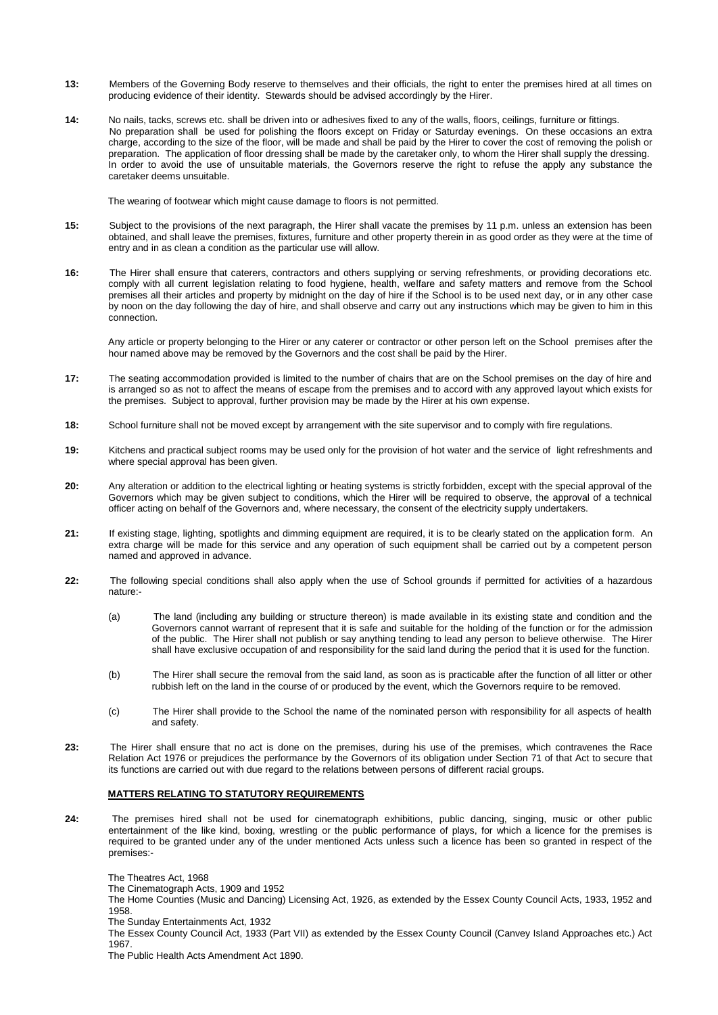- **13:** Members of the Governing Body reserve to themselves and their officials, the right to enter the premises hired at all times on producing evidence of their identity. Stewards should be advised accordingly by the Hirer.
- **14:** No nails, tacks, screws etc. shall be driven into or adhesives fixed to any of the walls, floors, ceilings, furniture or fittings. No preparation shall be used for polishing the floors except on Friday or Saturday evenings. On these occasions an extra charge, according to the size of the floor, will be made and shall be paid by the Hirer to cover the cost of removing the polish or preparation. The application of floor dressing shall be made by the caretaker only, to whom the Hirer shall supply the dressing. In order to avoid the use of unsuitable materials, the Governors reserve the right to refuse the apply any substance the caretaker deems unsuitable.

The wearing of footwear which might cause damage to floors is not permitted.

- **15:** Subject to the provisions of the next paragraph, the Hirer shall vacate the premises by 11 p.m. unless an extension has been obtained, and shall leave the premises, fixtures, furniture and other property therein in as good order as they were at the time of entry and in as clean a condition as the particular use will allow.
- **16:** The Hirer shall ensure that caterers, contractors and others supplying or serving refreshments, or providing decorations etc. comply with all current legislation relating to food hygiene, health, welfare and safety matters and remove from the School premises all their articles and property by midnight on the day of hire if the School is to be used next day, or in any other case by noon on the day following the day of hire, and shall observe and carry out any instructions which may be given to him in this connection.

 Any article or property belonging to the Hirer or any caterer or contractor or other person left on the School premises after the hour named above may be removed by the Governors and the cost shall be paid by the Hirer.

- **17:** The seating accommodation provided is limited to the number of chairs that are on the School premises on the day of hire and is arranged so as not to affect the means of escape from the premises and to accord with any approved layout which exists for the premises. Subject to approval, further provision may be made by the Hirer at his own expense.
- **18:** School furniture shall not be moved except by arrangement with the site supervisor and to comply with fire regulations.
- **19:** Kitchens and practical subject rooms may be used only for the provision of hot water and the service of light refreshments and where special approval has been given.
- **20:** Any alteration or addition to the electrical lighting or heating systems is strictly forbidden, except with the special approval of the Governors which may be given subject to conditions, which the Hirer will be required to observe, the approval of a technical officer acting on behalf of the Governors and, where necessary, the consent of the electricity supply undertakers.
- **21:** If existing stage, lighting, spotlights and dimming equipment are required, it is to be clearly stated on the application form. An extra charge will be made for this service and any operation of such equipment shall be carried out by a competent person named and approved in advance.
- **22:** The following special conditions shall also apply when the use of School grounds if permitted for activities of a hazardous nature:-
	- (a) The land (including any building or structure thereon) is made available in its existing state and condition and the Governors cannot warrant of represent that it is safe and suitable for the holding of the function or for the admission of the public. The Hirer shall not publish or say anything tending to lead any person to believe otherwise. The Hirer shall have exclusive occupation of and responsibility for the said land during the period that it is used for the function.
	- (b) The Hirer shall secure the removal from the said land, as soon as is practicable after the function of all litter or other rubbish left on the land in the course of or produced by the event, which the Governors require to be removed.
	- (c) The Hirer shall provide to the School the name of the nominated person with responsibility for all aspects of health and safety.
- **23:** The Hirer shall ensure that no act is done on the premises, during his use of the premises, which contravenes the Race Relation Act 1976 or prejudices the performance by the Governors of its obligation under Section 71 of that Act to secure that its functions are carried out with due regard to the relations between persons of different racial groups.

## **MATTERS RELATING TO STATUTORY REQUIREMENTS**

**24:** The premises hired shall not be used for cinematograph exhibitions, public dancing, singing, music or other public entertainment of the like kind, boxing, wrestling or the public performance of plays, for which a licence for the premises is required to be granted under any of the under mentioned Acts unless such a licence has been so granted in respect of the premises:-

The Theatres Act, 1968

The Cinematograph Acts, 1909 and 1952

 The Home Counties (Music and Dancing) Licensing Act, 1926, as extended by the Essex County Council Acts, 1933, 1952 and 1958.

The Sunday Entertainments Act, 1932

 The Essex County Council Act, 1933 (Part VII) as extended by the Essex County Council (Canvey Island Approaches etc.) Act 1967.

The Public Health Acts Amendment Act 1890.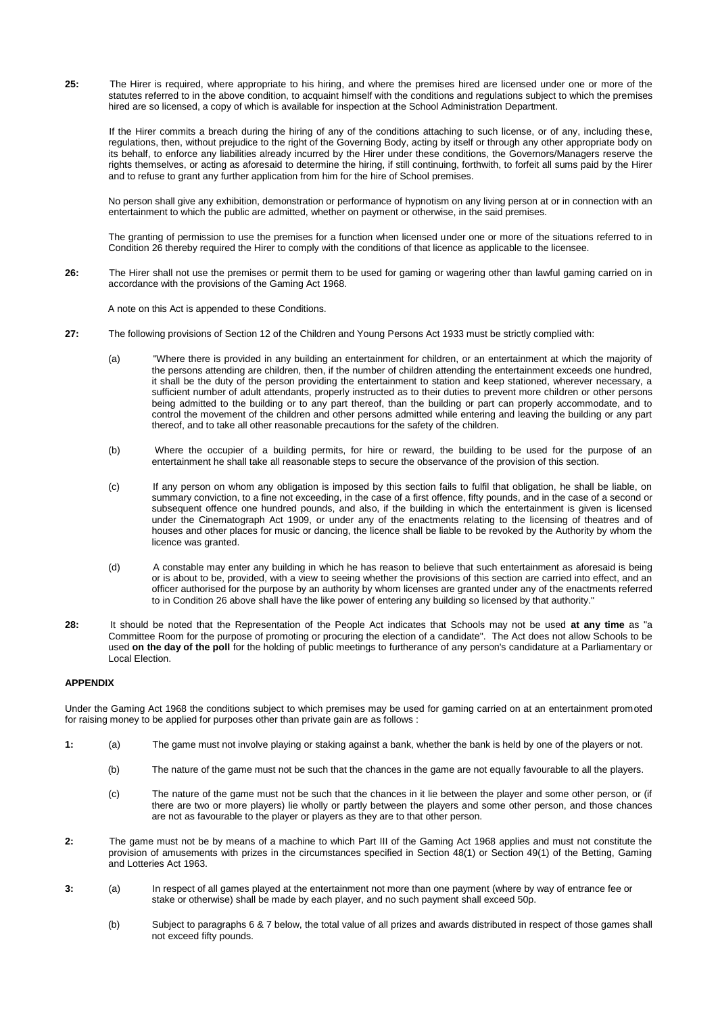**25:** The Hirer is required, where appropriate to his hiring, and where the premises hired are licensed under one or more of the statutes referred to in the above condition, to acquaint himself with the conditions and regulations subject to which the premises hired are so licensed, a copy of which is available for inspection at the School Administration Department.

 If the Hirer commits a breach during the hiring of any of the conditions attaching to such license, or of any, including these, regulations, then, without prejudice to the right of the Governing Body, acting by itself or through any other appropriate body on its behalf, to enforce any liabilities already incurred by the Hirer under these conditions, the Governors/Managers reserve the rights themselves, or acting as aforesaid to determine the hiring, if still continuing, forthwith, to forfeit all sums paid by the Hirer and to refuse to grant any further application from him for the hire of School premises.

 No person shall give any exhibition, demonstration or performance of hypnotism on any living person at or in connection with an entertainment to which the public are admitted, whether on payment or otherwise, in the said premises.

 The granting of permission to use the premises for a function when licensed under one or more of the situations referred to in Condition 26 thereby required the Hirer to comply with the conditions of that licence as applicable to the licensee.

**26:** The Hirer shall not use the premises or permit them to be used for gaming or wagering other than lawful gaming carried on in accordance with the provisions of the Gaming Act 1968.

A note on this Act is appended to these Conditions.

- **27:** The following provisions of Section 12 of the Children and Young Persons Act 1933 must be strictly complied with:
	- (a) "Where there is provided in any building an entertainment for children, or an entertainment at which the majority of the persons attending are children, then, if the number of children attending the entertainment exceeds one hundred, it shall be the duty of the person providing the entertainment to station and keep stationed, wherever necessary, a sufficient number of adult attendants, properly instructed as to their duties to prevent more children or other persons being admitted to the building or to any part thereof, than the building or part can properly accommodate, and to control the movement of the children and other persons admitted while entering and leaving the building or any part thereof, and to take all other reasonable precautions for the safety of the children.
	- (b) Where the occupier of a building permits, for hire or reward, the building to be used for the purpose of an entertainment he shall take all reasonable steps to secure the observance of the provision of this section.
	- (c) If any person on whom any obligation is imposed by this section fails to fulfil that obligation, he shall be liable, on summary conviction, to a fine not exceeding, in the case of a first offence, fifty pounds, and in the case of a second or subsequent offence one hundred pounds, and also, if the building in which the entertainment is given is licensed under the Cinematograph Act 1909, or under any of the enactments relating to the licensing of theatres and of houses and other places for music or dancing, the licence shall be liable to be revoked by the Authority by whom the licence was granted.
	- (d) A constable may enter any building in which he has reason to believe that such entertainment as aforesaid is being or is about to be, provided, with a view to seeing whether the provisions of this section are carried into effect, and an officer authorised for the purpose by an authority by whom licenses are granted under any of the enactments referred to in Condition 26 above shall have the like power of entering any building so licensed by that authority."
- **28:** It should be noted that the Representation of the People Act indicates that Schools may not be used **at any time** as "a Committee Room for the purpose of promoting or procuring the election of a candidate". The Act does not allow Schools to be used **on the day of the poll** for the holding of public meetings to furtherance of any person's candidature at a Parliamentary or Local Election.

## **APPENDIX**

Under the Gaming Act 1968 the conditions subject to which premises may be used for gaming carried on at an entertainment promoted for raising money to be applied for purposes other than private gain are as follows :

- **1:** (a) The game must not involve playing or staking against a bank, whether the bank is held by one of the players or not.
	- (b) The nature of the game must not be such that the chances in the game are not equally favourable to all the players.
	- (c) The nature of the game must not be such that the chances in it lie between the player and some other person, or (if there are two or more players) lie wholly or partly between the players and some other person, and those chances are not as favourable to the player or players as they are to that other person.
- **2:** The game must not be by means of a machine to which Part III of the Gaming Act 1968 applies and must not constitute the provision of amusements with prizes in the circumstances specified in Section 48(1) or Section 49(1) of the Betting, Gaming and Lotteries Act 1963.
- **3:** (a) In respect of all games played at the entertainment not more than one payment (where by way of entrance fee or stake or otherwise) shall be made by each player, and no such payment shall exceed 50p.
	- (b) Subject to paragraphs 6 & 7 below, the total value of all prizes and awards distributed in respect of those games shall not exceed fifty pounds.